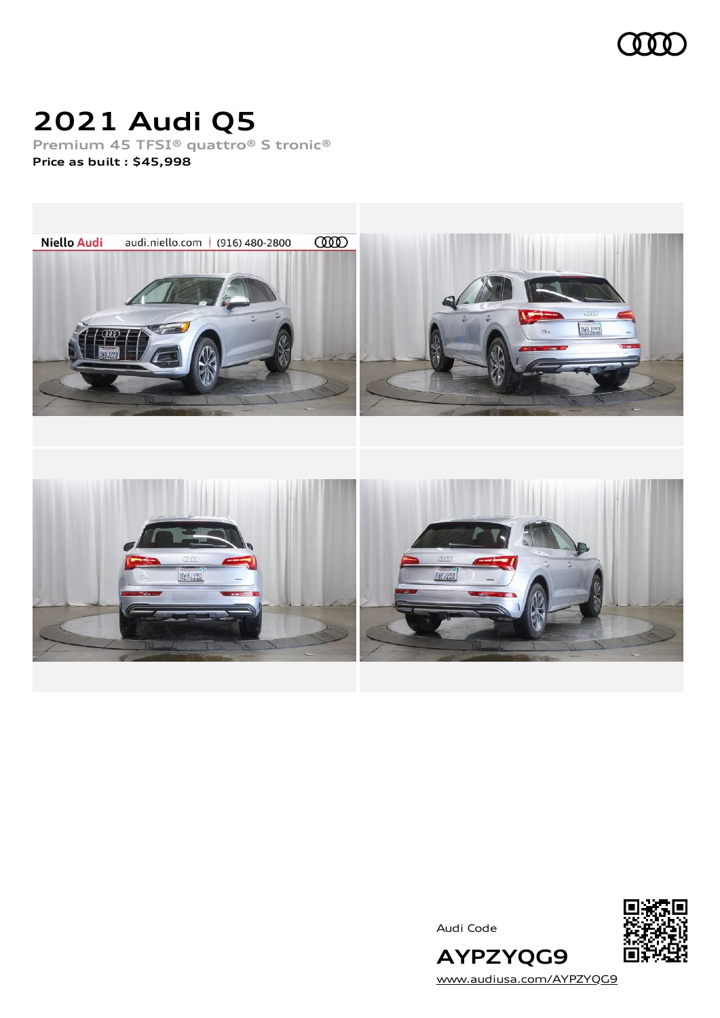

### **2021 Audi Q5**

**Premium 45 TFSI® quattro® S tronic® Price as built [:](#page-10-0) \$45,998**



Audi Code



[www.audiusa.com/AYPZYQG9](https://www.audiusa.com/AYPZYQG9)

**AYPZYQG9**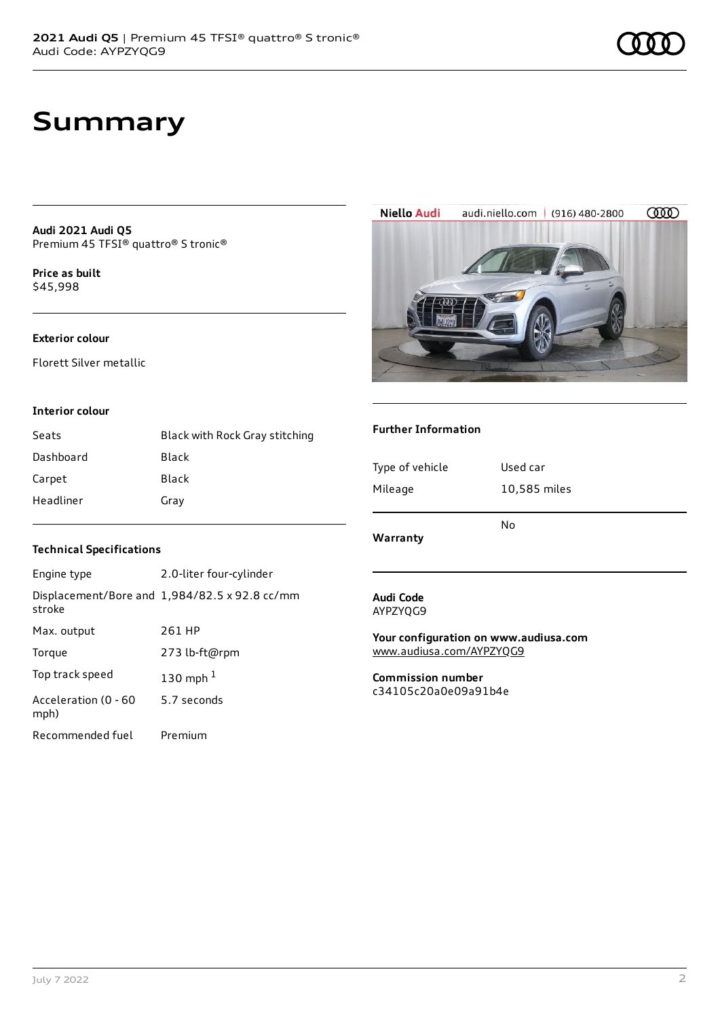### **Summary**

**Audi 2021 Audi Q5** Premium 45 TFSI® quattro® S tronic®

**Price as buil[t](#page-10-0)** \$45,998

#### **Exterior colour**

Florett Silver metallic

#### **Interior colour**

| Seats     | Black with Rock Gray stitching |
|-----------|--------------------------------|
| Dashboard | Black                          |
| Carpet    | Black                          |
| Headliner | Gray                           |

### **Technical Specifications**

| Engine type                  | 2.0-liter four-cylinder                       |
|------------------------------|-----------------------------------------------|
| stroke                       | Displacement/Bore and 1,984/82.5 x 92.8 cc/mm |
| Max. output                  | 261 HP                                        |
| Torque                       | 273 lb-ft@rpm                                 |
| Top track speed              | 130 mph $1$                                   |
| Acceleration (0 - 60<br>mph) | 5.7 seconds                                   |
| Recommended fuel             | Premium                                       |



**Niello Audi** audi.niello.com | (916) 480-2800 **COOD** 

### **Further Information**

| Type of vehicle<br>Used car<br>Mileage<br>10,585 miles | Warranty | No |
|--------------------------------------------------------|----------|----|
|                                                        |          |    |
|                                                        |          |    |

#### **Audi Code** AYPZYQG9

**Your configuration on www.audiusa.com** [www.audiusa.com/AYPZYQG9](https://www.audiusa.com/AYPZYQG9)

**Commission number** c34105c20a0e09a91b4e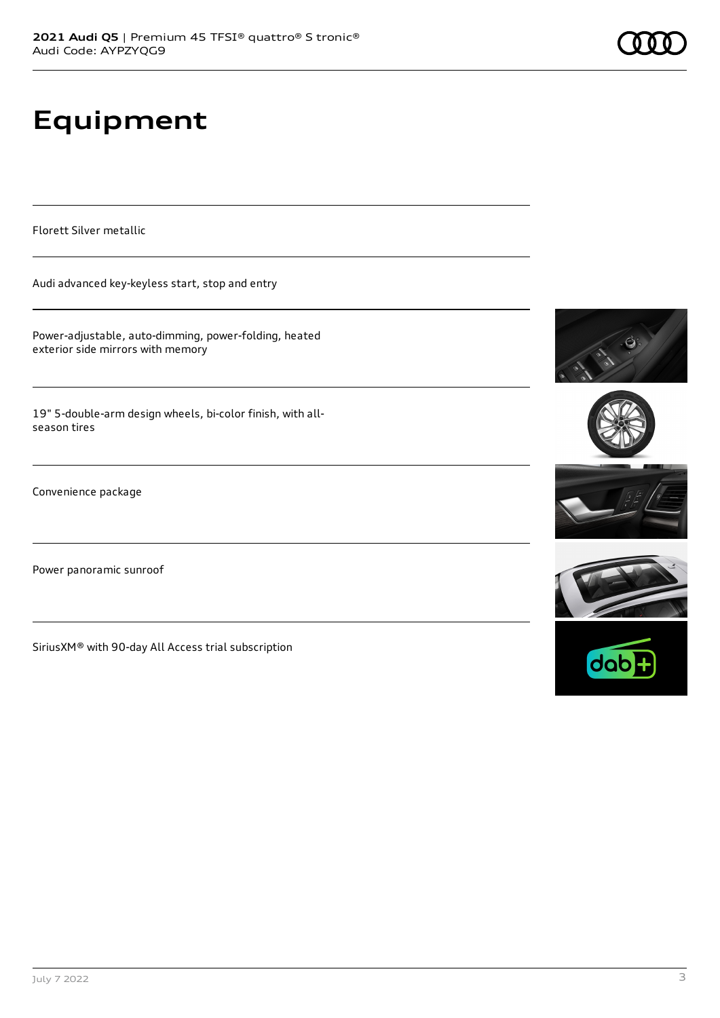# **Equipment**

Florett Silver metallic

Audi advanced key-keyless start, stop and entry

Power-adjustable, auto-dimming, power-folding, heated exterior side mirrors with memory

19" 5-double-arm design wheels, bi-color finish, with allseason tires

Convenience package

Power panoramic sunroof

SiriusXM® with 90-day All Access trial subscription









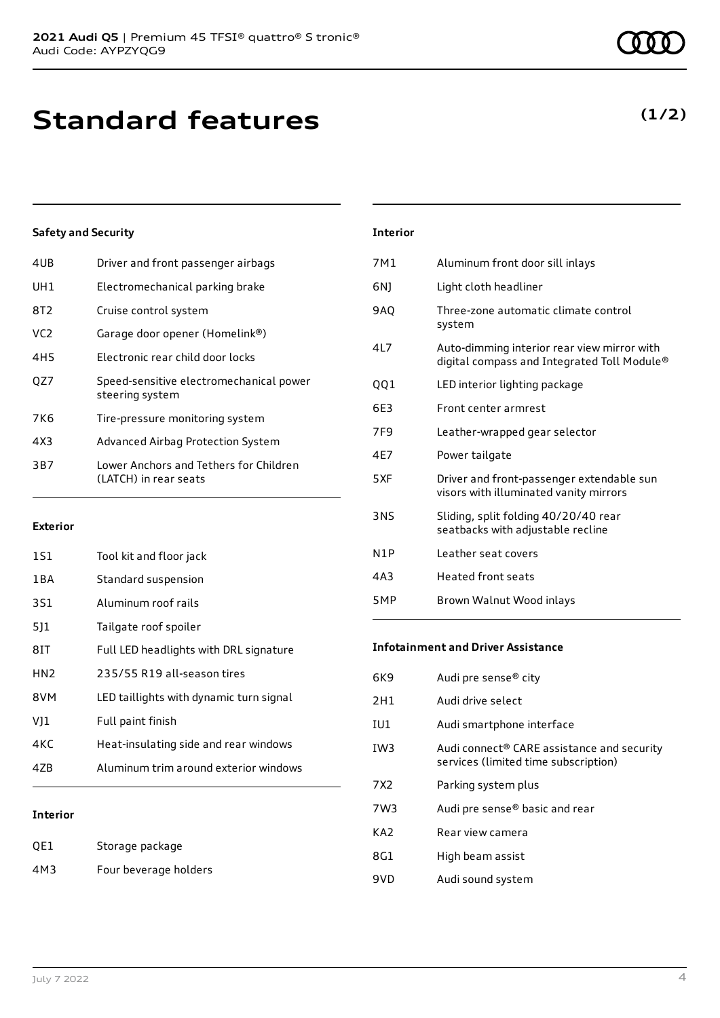### **Standard features**

### **Safety and Security**

| 4UB             | Driver and front passenger airbags                              |
|-----------------|-----------------------------------------------------------------|
| UH1             | Electromechanical parking brake                                 |
| 8T2             | Cruise control system                                           |
| VC <sub>2</sub> | Garage door opener (Homelink®)                                  |
| 4H <sub>5</sub> | Electronic rear child door locks                                |
| OZ7             | Speed-sensitive electromechanical power<br>steering system      |
| 7K6             | Tire-pressure monitoring system                                 |
| 4X3             | Advanced Airbag Protection System                               |
| 3B7             | Lower Anchors and Tethers for Children<br>(LATCH) in rear seats |
|                 |                                                                 |

#### **Exterior**

| 151             | Tool kit and floor jack                 |
|-----------------|-----------------------------------------|
| 1 B A           | Standard suspension                     |
| 3S1             | Aluminum roof rails                     |
| 511             | Tailgate roof spoiler                   |
| 81T             | Full LED headlights with DRL signature  |
| HN <sub>2</sub> | 235/55 R19 all-season tires             |
| 8VM             | LED taillights with dynamic turn signal |
| VJ1             | Full paint finish                       |
| 4KC             | Heat-insulating side and rear windows   |
| 47B             | Aluminum trim around exterior windows   |
|                 |                                         |

#### **Interior**

| QE1 | Storage package       |
|-----|-----------------------|
| 4M3 | Four beverage holders |

| <b>Interior</b> |                                                                                            |
|-----------------|--------------------------------------------------------------------------------------------|
| 7M1             | Aluminum front door sill inlays                                                            |
| 6N)             | Light cloth headliner                                                                      |
| <b>9AO</b>      | Three-zone automatic climate control<br>system                                             |
| 417             | Auto-dimming interior rear view mirror with<br>digital compass and Integrated Toll Module® |
| 001             | LED interior lighting package                                                              |
| 6E3             | Front center armrest                                                                       |
| 7F <sub>9</sub> | Leather-wrapped gear selector                                                              |
| 4E7             | Power tailgate                                                                             |
| 5XF             | Driver and front-passenger extendable sun<br>visors with illuminated vanity mirrors        |
| <b>3NS</b>      | Sliding, split folding 40/20/40 rear<br>seatbacks with adjustable recline                  |
| N1P             | Leather seat covers                                                                        |
| 4A3             | Heated front seats                                                                         |
| 5MP             | Brown Walnut Wood inlays                                                                   |

#### **Infotainment and Driver Assistance**

| 6K9   | Audi pre sense® city                                                               |
|-------|------------------------------------------------------------------------------------|
| 2H1   | Audi drive select                                                                  |
| IU1   | Audi smartphone interface                                                          |
| IW3   | Audi connect® CARE assistance and security<br>services (limited time subscription) |
| 7 X 2 | Parking system plus                                                                |
| 7W3   | Audi pre sense® basic and rear                                                     |
| KA2   | Rear view camera                                                                   |
| 8G1   | High beam assist                                                                   |
| 9VD   | Audi sound system                                                                  |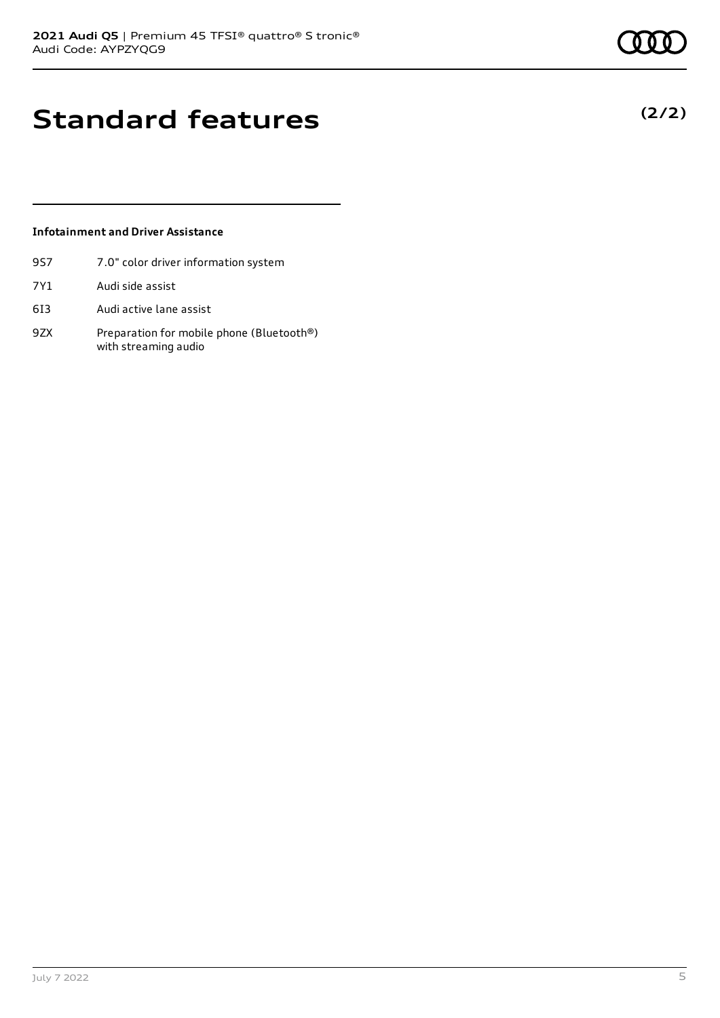**(2/2)**

### **Standard features**

### **Infotainment and Driver Assistance**

- 9S7 7.0" color driver information system
- 7Y1 Audi side assist
- 6I3 Audi active lane assist
- 9ZX Preparation for mobile phone (Bluetooth®) with streaming audio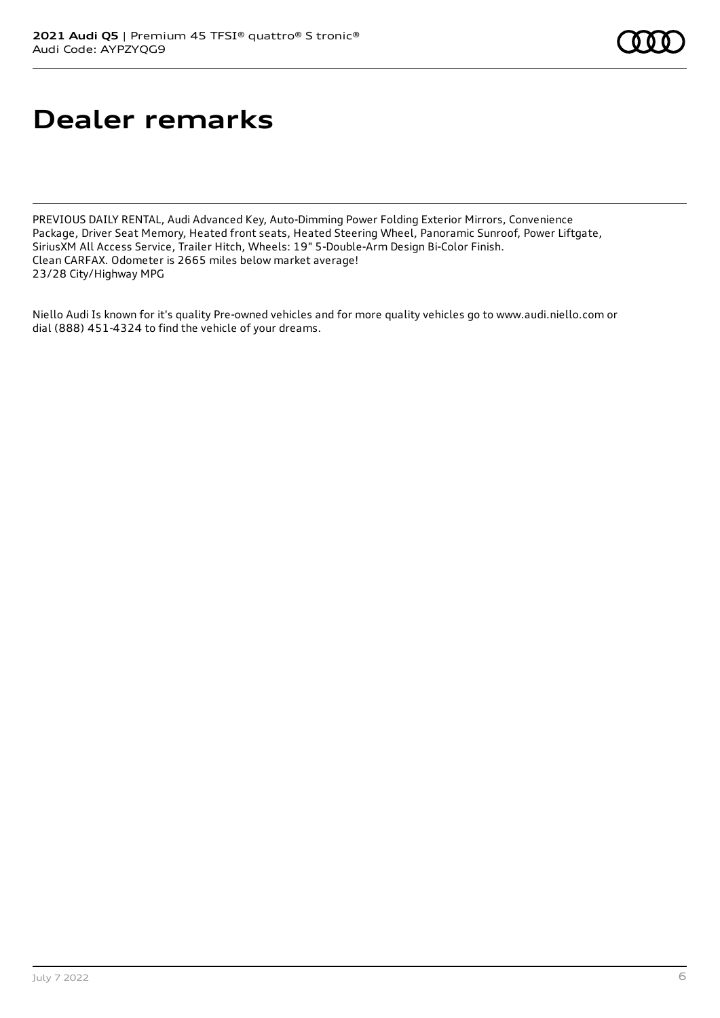### **Dealer remarks**

PREVIOUS DAILY RENTAL, Audi Advanced Key, Auto-Dimming Power Folding Exterior Mirrors, Convenience Package, Driver Seat Memory, Heated front seats, Heated Steering Wheel, Panoramic Sunroof, Power Liftgate, SiriusXM All Access Service, Trailer Hitch, Wheels: 19" 5-Double-Arm Design Bi-Color Finish. Clean CARFAX. Odometer is 2665 miles below market average! 23/28 City/Highway MPG

Niello Audi Is known for it's quality Pre-owned vehicles and for more quality vehicles go to www.audi.niello.com or dial (888) 451-4324 to find the vehicle of your dreams.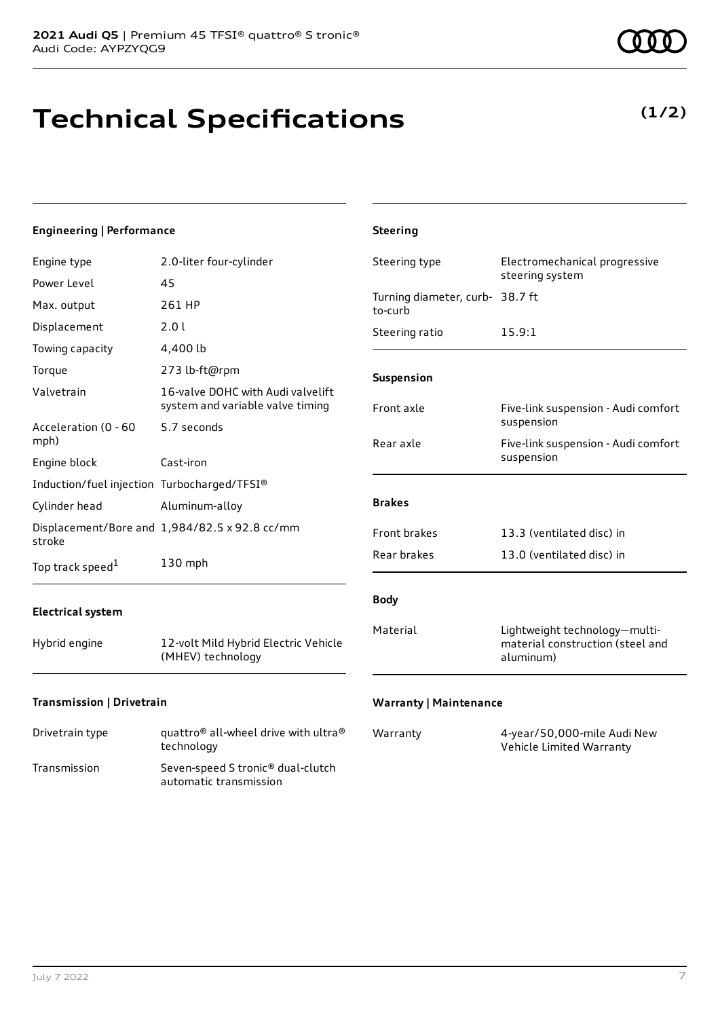## **Technical Specifications**

**(1/2)**

| Engineering   Performance                                    |                                                                                        | <b>Steering</b>                            |                                                                   |
|--------------------------------------------------------------|----------------------------------------------------------------------------------------|--------------------------------------------|-------------------------------------------------------------------|
| Engine type<br>Power Level                                   | 2.0-liter four-cylinder<br>45                                                          | Steering type                              | Electromechanical progressive<br>steering system                  |
| Max. output                                                  | 261 HP                                                                                 | Turning diameter, curb- 38.7 ft<br>to-curb |                                                                   |
| Displacement<br>Towing capacity                              | 2.01<br>4,400 lb                                                                       | Steering ratio                             | 15.9:1                                                            |
| Torque<br>Valvetrain                                         | 273 lb-ft@rpm<br>16-valve DOHC with Audi valvelift<br>system and variable valve timing | Suspension<br>Front axle                   | Five-link suspension - Audi comfort                               |
| Acceleration (0 - 60<br>mph)<br>Engine block                 | 5.7 seconds<br>Cast-iron                                                               | Rear axle                                  | suspension<br>Five-link suspension - Audi comfort<br>suspension   |
| Induction/fuel injection Turbocharged/TFSI®<br>Cylinder head | Aluminum-alloy                                                                         | <b>Brakes</b>                              |                                                                   |
| stroke<br>Top track speed <sup>1</sup>                       | Displacement/Bore and 1,984/82.5 x 92.8 cc/mm<br>130 mph                               | Front brakes<br>Rear brakes                | 13.3 (ventilated disc) in<br>13.0 (ventilated disc) in            |
| <b>Electrical system</b><br>Hybrid engine                    | 12-volt Mild Hybrid Electric Vehicle                                                   | <b>Body</b><br>Material                    | Lightweight technology-multi-<br>material construction (steel and |
| Transmission   Drivetrain                                    | (MHEV) technology                                                                      | <b>Warranty   Maintenance</b>              | aluminum)                                                         |

| Drivetrain type | quattro <sup>®</sup> all-wheel drive with ultra <sup>®</sup><br>technology |
|-----------------|----------------------------------------------------------------------------|
| Transmission    | Seven-speed S tronic <sup>®</sup> dual-clutch<br>automatic transmission    |

| Warranty | 4-year/50,000-mile Audi New |
|----------|-----------------------------|
|          | Vehicle Limited Warranty    |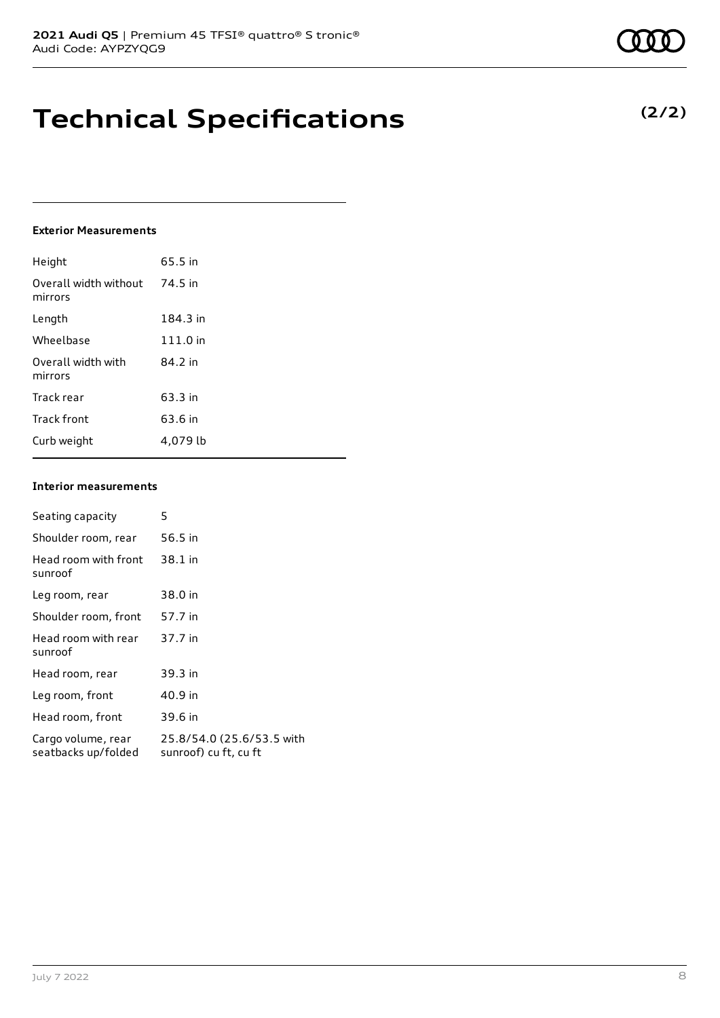### **Technical Specifications**

### **Exterior Measurements**

| Height                           | 65.5 in  |
|----------------------------------|----------|
| Overall width without<br>mirrors | 74.5 in  |
| Length                           | 184.3 in |
| Wheelbase                        | 111.0 in |
| Overall width with<br>mirrors    | 84.2 in  |
| Track rear                       | 63.3 in  |
| Track front                      | 63.6 in  |
| Curb weight                      | 4.079 lb |

#### **Interior measurements**

| Seating capacity                          | 5                                                  |
|-------------------------------------------|----------------------------------------------------|
| Shoulder room, rear                       | 56.5 in                                            |
| Head room with front<br>sunroof           | 38.1 in                                            |
| Leg room, rear                            | 38.0 in                                            |
| Shoulder room, front                      | 57.7 in                                            |
| Head room with rear<br>sunroof            | 37.7 in                                            |
| Head room, rear                           | 39.3 in                                            |
| Leg room, front                           | 40.9 in                                            |
| Head room, front                          | 39.6 in                                            |
| Cargo volume, rear<br>seatbacks up/folded | 25.8/54.0 (25.6/53.5 with<br>sunroof) cu ft, cu ft |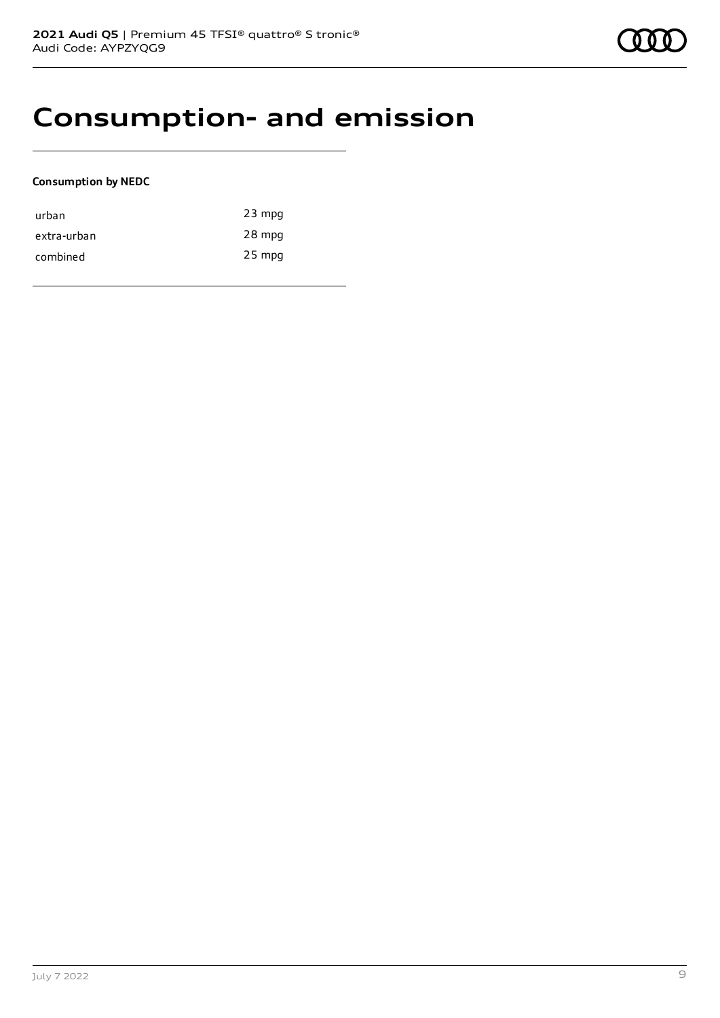### **Consumption- and emission**

### **Consumption by NEDC**

| urban       | $23$ mpg |
|-------------|----------|
| extra-urban | 28 mpg   |
| combined    | $25$ mpg |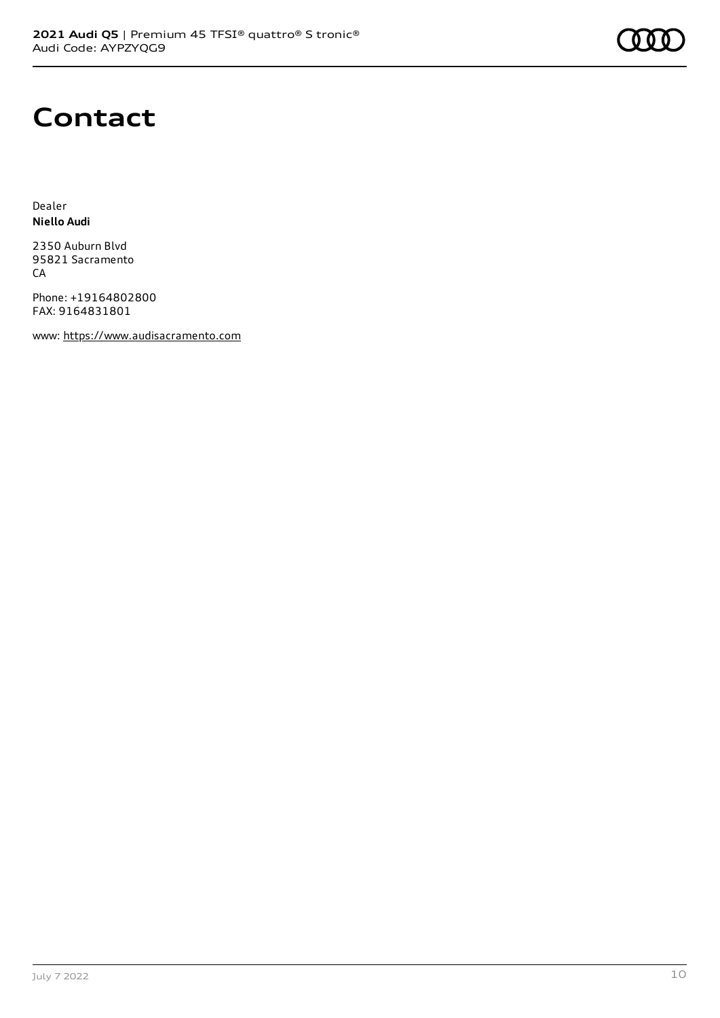

### **Contact**

Dealer **Niello Audi**

2350 Auburn Blvd 95821 Sacramento **CA** 

Phone: +19164802800 FAX: 9164831801

www: [https://www.audisacramento.com](https://www.audisacramento.com/)